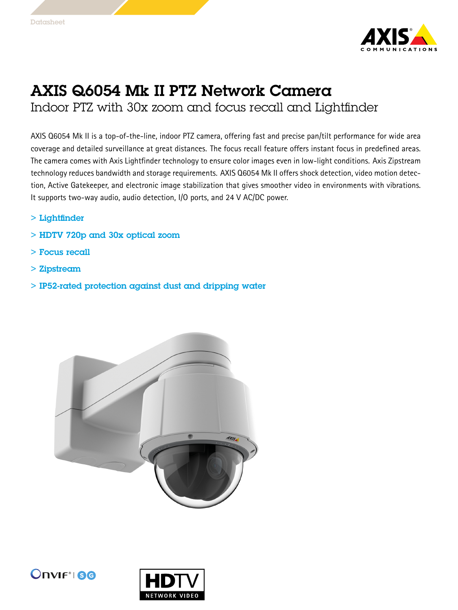

## AXIS Q6054 Mk II PTZ Network Camera

Indoor PTZ with 30x zoom and focus recall and Lightfinder

AXIS Q6054 Mk II is <sup>a</sup> top-of-the-line, indoor PTZ camera, offering fast and precise pan/tilt performance for wide area coverage and detailed surveillance at great distances. The focus recall feature offers instant focus in predefined areas. The camera comes with Axis Lightfinder technology to ensure color images even in low-light conditions. Axis Zipstream technology reduces bandwidth and storage requirements. AXIS Q6054 Mk II offers shock detection, video motion detection, Active Gatekeeper, and electronic image stabilization that gives smoother video in environments with vibrations. It supports two-way audio, audio detection, I/O ports, and <sup>24</sup> V AC/DC power.

- > Lightfinder
- > HDTV 720p and 30x optical zoom
- > Focus recall
- > Zipstream
- > IP52-rated protection against dust and dripping water